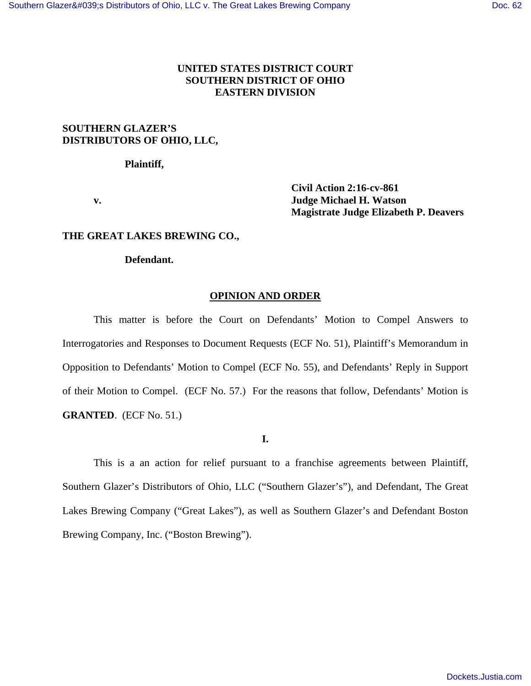# **UNITED STATES DISTRICT COURT SOUTHERN DISTRICT OF OHIO EASTERN DIVISION**

# **SOUTHERN GLAZER'S DISTRIBUTORS OF OHIO, LLC,**

 **Plaintiff,** 

 **Civil Action 2:16-cv-861 v. Judge Michael H. Watson Magistrate Judge Elizabeth P. Deavers** 

### **THE GREAT LAKES BREWING CO.,**

#### **Defendant.**

#### **OPINION AND ORDER**

This matter is before the Court on Defendants' Motion to Compel Answers to Interrogatories and Responses to Document Requests (ECF No. 51), Plaintiff's Memorandum in Opposition to Defendants' Motion to Compel (ECF No. 55), and Defendants' Reply in Support of their Motion to Compel. (ECF No. 57.) For the reasons that follow, Defendants' Motion is **GRANTED**. (ECF No. 51.)

# **I.**

This is a an action for relief pursuant to a franchise agreements between Plaintiff, Southern Glazer's Distributors of Ohio, LLC ("Southern Glazer's"), and Defendant, The Great Lakes Brewing Company ("Great Lakes"), as well as Southern Glazer's and Defendant Boston Brewing Company, Inc. ("Boston Brewing").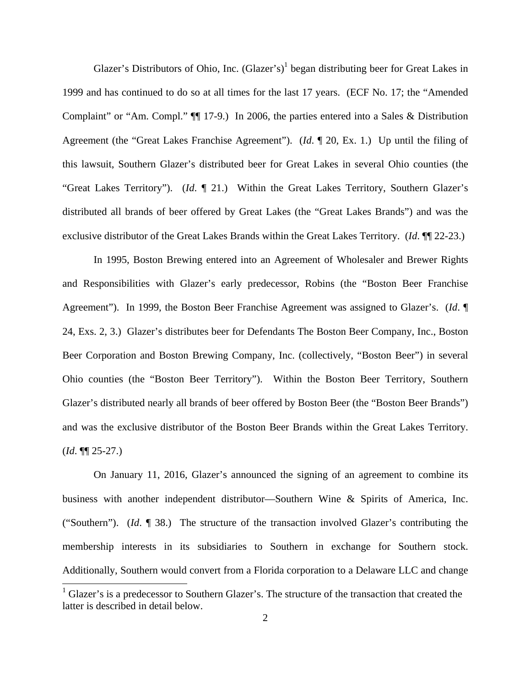Glazer's Distributors of Ohio, Inc.  $(Glazer's)^{1}$  began distributing beer for Great Lakes in 1999 and has continued to do so at all times for the last 17 years. (ECF No. 17; the "Amended Complaint" or "Am. Compl." ¶¶ 17-9.) In 2006, the parties entered into a Sales & Distribution Agreement (the "Great Lakes Franchise Agreement"). (*Id*. ¶ 20, Ex. 1.) Up until the filing of this lawsuit, Southern Glazer's distributed beer for Great Lakes in several Ohio counties (the "Great Lakes Territory"). (*Id*. ¶ 21.) Within the Great Lakes Territory, Southern Glazer's distributed all brands of beer offered by Great Lakes (the "Great Lakes Brands") and was the exclusive distributor of the Great Lakes Brands within the Great Lakes Territory. (*Id*. ¶¶ 22-23.)

In 1995, Boston Brewing entered into an Agreement of Wholesaler and Brewer Rights and Responsibilities with Glazer's early predecessor, Robins (the "Boston Beer Franchise Agreement"). In 1999, the Boston Beer Franchise Agreement was assigned to Glazer's. (*Id*. ¶ 24, Exs. 2, 3.) Glazer's distributes beer for Defendants The Boston Beer Company, Inc., Boston Beer Corporation and Boston Brewing Company, Inc. (collectively, "Boston Beer") in several Ohio counties (the "Boston Beer Territory"). Within the Boston Beer Territory, Southern Glazer's distributed nearly all brands of beer offered by Boston Beer (the "Boston Beer Brands") and was the exclusive distributor of the Boston Beer Brands within the Great Lakes Territory. (*Id*. ¶¶ 25-27.)

On January 11, 2016, Glazer's announced the signing of an agreement to combine its business with another independent distributor—Southern Wine & Spirits of America, Inc. ("Southern"). (*Id*. ¶ 38.) The structure of the transaction involved Glazer's contributing the membership interests in its subsidiaries to Southern in exchange for Southern stock. Additionally, Southern would convert from a Florida corporation to a Delaware LLC and change

<sup>&</sup>lt;sup>1</sup> Glazer's is a predecessor to Southern Glazer's. The structure of the transaction that created the latter is described in detail below.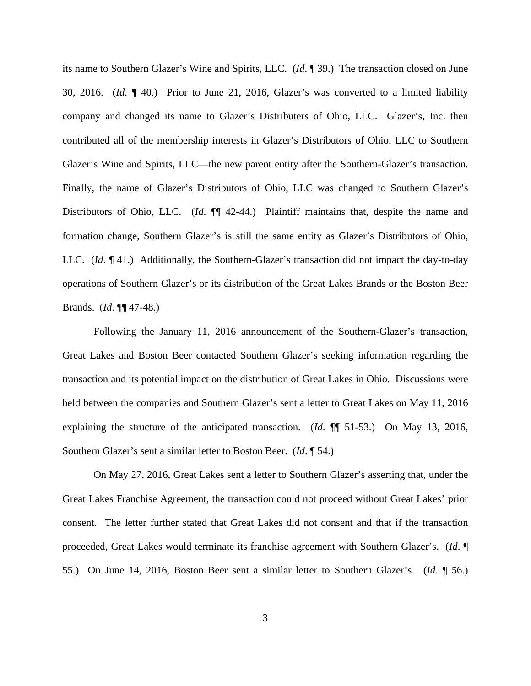its name to Southern Glazer's Wine and Spirits, LLC. (*Id*. ¶ 39.) The transaction closed on June 30, 2016. (*Id*. ¶ 40.) Prior to June 21, 2016, Glazer's was converted to a limited liability company and changed its name to Glazer's Distributers of Ohio, LLC. Glazer's, Inc. then contributed all of the membership interests in Glazer's Distributors of Ohio, LLC to Southern Glazer's Wine and Spirits, LLC—the new parent entity after the Southern-Glazer's transaction. Finally, the name of Glazer's Distributors of Ohio, LLC was changed to Southern Glazer's Distributors of Ohio, LLC. (*Id.*  $\P$  42-44.) Plaintiff maintains that, despite the name and formation change, Southern Glazer's is still the same entity as Glazer's Distributors of Ohio, LLC. (*Id*. ¶ 41.) Additionally, the Southern-Glazer's transaction did not impact the day-to-day operations of Southern Glazer's or its distribution of the Great Lakes Brands or the Boston Beer Brands. (*Id*. ¶¶ 47-48.)

Following the January 11, 2016 announcement of the Southern-Glazer's transaction, Great Lakes and Boston Beer contacted Southern Glazer's seeking information regarding the transaction and its potential impact on the distribution of Great Lakes in Ohio. Discussions were held between the companies and Southern Glazer's sent a letter to Great Lakes on May 11, 2016 explaining the structure of the anticipated transaction. (*Id*. ¶¶ 51-53.) On May 13, 2016, Southern Glazer's sent a similar letter to Boston Beer. (*Id*. ¶ 54.)

On May 27, 2016, Great Lakes sent a letter to Southern Glazer's asserting that, under the Great Lakes Franchise Agreement, the transaction could not proceed without Great Lakes' prior consent. The letter further stated that Great Lakes did not consent and that if the transaction proceeded, Great Lakes would terminate its franchise agreement with Southern Glazer's. (*Id*. ¶ 55.) On June 14, 2016, Boston Beer sent a similar letter to Southern Glazer's. (*Id*. ¶ 56.)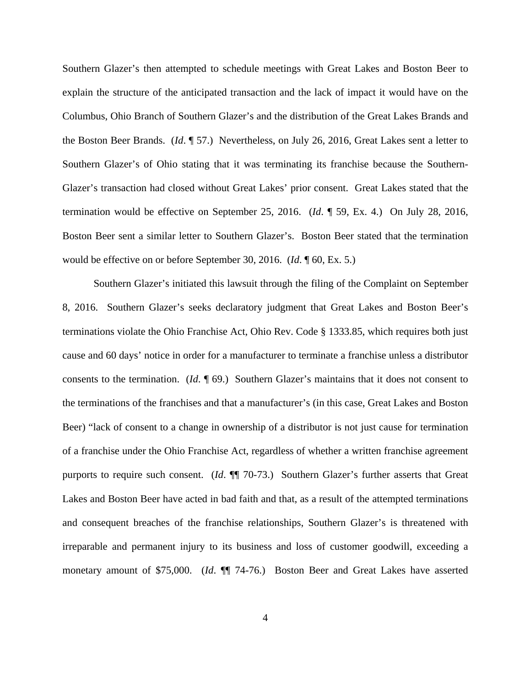Southern Glazer's then attempted to schedule meetings with Great Lakes and Boston Beer to explain the structure of the anticipated transaction and the lack of impact it would have on the Columbus, Ohio Branch of Southern Glazer's and the distribution of the Great Lakes Brands and the Boston Beer Brands. (*Id*. ¶ 57.) Nevertheless, on July 26, 2016, Great Lakes sent a letter to Southern Glazer's of Ohio stating that it was terminating its franchise because the Southern-Glazer's transaction had closed without Great Lakes' prior consent. Great Lakes stated that the termination would be effective on September 25, 2016. (*Id*. ¶ 59, Ex. 4.) On July 28, 2016, Boston Beer sent a similar letter to Southern Glazer's. Boston Beer stated that the termination would be effective on or before September 30, 2016. (*Id*. ¶ 60, Ex. 5.)

Southern Glazer's initiated this lawsuit through the filing of the Complaint on September 8, 2016. Southern Glazer's seeks declaratory judgment that Great Lakes and Boston Beer's terminations violate the Ohio Franchise Act, Ohio Rev. Code § 1333.85, which requires both just cause and 60 days' notice in order for a manufacturer to terminate a franchise unless a distributor consents to the termination. (*Id*. ¶ 69.) Southern Glazer's maintains that it does not consent to the terminations of the franchises and that a manufacturer's (in this case, Great Lakes and Boston Beer) "lack of consent to a change in ownership of a distributor is not just cause for termination of a franchise under the Ohio Franchise Act, regardless of whether a written franchise agreement purports to require such consent. (*Id.*  $\P$ <sup> $\eta$ </sup> 70-73.) Southern Glazer's further asserts that Great Lakes and Boston Beer have acted in bad faith and that, as a result of the attempted terminations and consequent breaches of the franchise relationships, Southern Glazer's is threatened with irreparable and permanent injury to its business and loss of customer goodwill, exceeding a monetary amount of \$75,000. (*Id*. ¶¶ 74-76.) Boston Beer and Great Lakes have asserted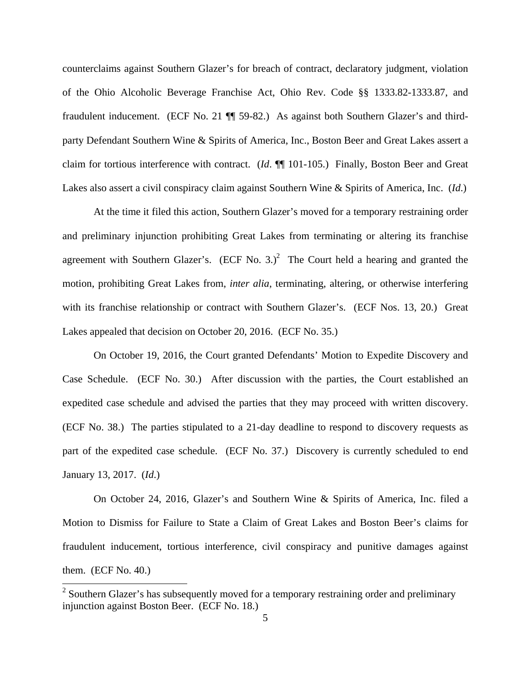counterclaims against Southern Glazer's for breach of contract, declaratory judgment, violation of the Ohio Alcoholic Beverage Franchise Act, Ohio Rev. Code §§ 1333.82-1333.87, and fraudulent inducement. (ECF No. 21 ¶¶ 59-82.) As against both Southern Glazer's and thirdparty Defendant Southern Wine & Spirits of America, Inc., Boston Beer and Great Lakes assert a claim for tortious interference with contract. (*Id*. ¶¶ 101-105.) Finally, Boston Beer and Great Lakes also assert a civil conspiracy claim against Southern Wine & Spirits of America, Inc. (*Id*.)

At the time it filed this action, Southern Glazer's moved for a temporary restraining order and preliminary injunction prohibiting Great Lakes from terminating or altering its franchise agreement with Southern Glazer's. (ECF No. 3.)<sup>2</sup> The Court held a hearing and granted the motion, prohibiting Great Lakes from, *inter alia*, terminating, altering, or otherwise interfering with its franchise relationship or contract with Southern Glazer's. (ECF Nos. 13, 20.) Great Lakes appealed that decision on October 20, 2016. (ECF No. 35.)

On October 19, 2016, the Court granted Defendants' Motion to Expedite Discovery and Case Schedule. (ECF No. 30.) After discussion with the parties, the Court established an expedited case schedule and advised the parties that they may proceed with written discovery. (ECF No. 38.) The parties stipulated to a 21-day deadline to respond to discovery requests as part of the expedited case schedule. (ECF No. 37.) Discovery is currently scheduled to end January 13, 2017. (*Id*.)

On October 24, 2016, Glazer's and Southern Wine & Spirits of America, Inc. filed a Motion to Dismiss for Failure to State a Claim of Great Lakes and Boston Beer's claims for fraudulent inducement, tortious interference, civil conspiracy and punitive damages against them. (ECF No. 40.)

<sup>&</sup>lt;sup>2</sup> Southern Glazer's has subsequently moved for a temporary restraining order and preliminary injunction against Boston Beer. (ECF No. 18.)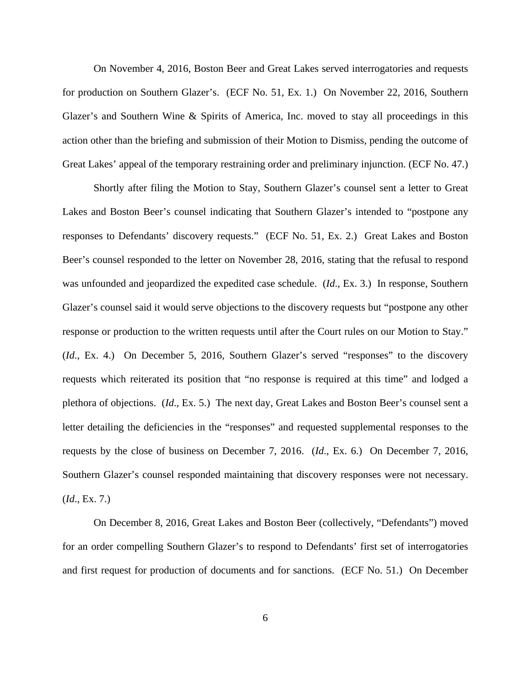On November 4, 2016, Boston Beer and Great Lakes served interrogatories and requests for production on Southern Glazer's. (ECF No. 51, Ex. 1.) On November 22, 2016, Southern Glazer's and Southern Wine & Spirits of America, Inc. moved to stay all proceedings in this action other than the briefing and submission of their Motion to Dismiss, pending the outcome of Great Lakes' appeal of the temporary restraining order and preliminary injunction. (ECF No. 47.)

Shortly after filing the Motion to Stay, Southern Glazer's counsel sent a letter to Great Lakes and Boston Beer's counsel indicating that Southern Glazer's intended to "postpone any responses to Defendants' discovery requests." (ECF No. 51, Ex. 2.) Great Lakes and Boston Beer's counsel responded to the letter on November 28, 2016, stating that the refusal to respond was unfounded and jeopardized the expedited case schedule. (*Id*., Ex. 3.) In response, Southern Glazer's counsel said it would serve objections to the discovery requests but "postpone any other response or production to the written requests until after the Court rules on our Motion to Stay." (*Id*., Ex. 4.) On December 5, 2016, Southern Glazer's served "responses" to the discovery requests which reiterated its position that "no response is required at this time" and lodged a plethora of objections. (*Id*., Ex. 5.) The next day, Great Lakes and Boston Beer's counsel sent a letter detailing the deficiencies in the "responses" and requested supplemental responses to the requests by the close of business on December 7, 2016. (*Id*., Ex. 6.) On December 7, 2016, Southern Glazer's counsel responded maintaining that discovery responses were not necessary. (*Id*., Ex. 7.)

On December 8, 2016, Great Lakes and Boston Beer (collectively, "Defendants") moved for an order compelling Southern Glazer's to respond to Defendants' first set of interrogatories and first request for production of documents and for sanctions. (ECF No. 51.) On December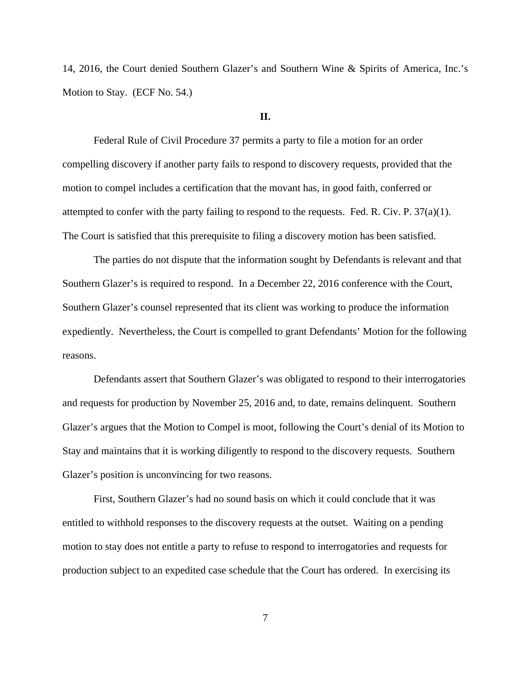14, 2016, the Court denied Southern Glazer's and Southern Wine & Spirits of America, Inc.'s Motion to Stay. (ECF No. 54.)

### **II.**

Federal Rule of Civil Procedure 37 permits a party to file a motion for an order compelling discovery if another party fails to respond to discovery requests, provided that the motion to compel includes a certification that the movant has, in good faith, conferred or attempted to confer with the party failing to respond to the requests. Fed. R. Civ. P.  $37(a)(1)$ . The Court is satisfied that this prerequisite to filing a discovery motion has been satisfied.

The parties do not dispute that the information sought by Defendants is relevant and that Southern Glazer's is required to respond. In a December 22, 2016 conference with the Court, Southern Glazer's counsel represented that its client was working to produce the information expediently. Nevertheless, the Court is compelled to grant Defendants' Motion for the following reasons.

Defendants assert that Southern Glazer's was obligated to respond to their interrogatories and requests for production by November 25, 2016 and, to date, remains delinquent. Southern Glazer's argues that the Motion to Compel is moot, following the Court's denial of its Motion to Stay and maintains that it is working diligently to respond to the discovery requests. Southern Glazer's position is unconvincing for two reasons.

First, Southern Glazer's had no sound basis on which it could conclude that it was entitled to withhold responses to the discovery requests at the outset. Waiting on a pending motion to stay does not entitle a party to refuse to respond to interrogatories and requests for production subject to an expedited case schedule that the Court has ordered. In exercising its

7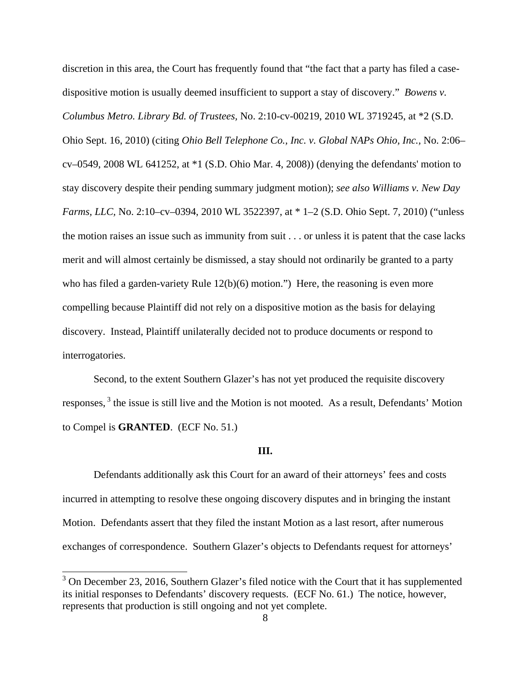discretion in this area, the Court has frequently found that "the fact that a party has filed a casedispositive motion is usually deemed insufficient to support a stay of discovery." *Bowens v. Columbus Metro. Library Bd. of Trustees,* No. 2:10-cv-00219, 2010 WL 3719245, at \*2 (S.D. Ohio Sept. 16, 2010) (citing *Ohio Bell Telephone Co., Inc. v. Global NAPs Ohio, Inc.,* No. 2:06– cv–0549, 2008 WL 641252, at \*1 (S.D. Ohio Mar. 4, 2008)) (denying the defendants' motion to stay discovery despite their pending summary judgment motion); *see also Williams v. New Day Farms, LLC,* No. 2:10–cv–0394, 2010 WL 3522397, at \* 1–2 (S.D. Ohio Sept. 7, 2010) ("unless the motion raises an issue such as immunity from suit . . . or unless it is patent that the case lacks merit and will almost certainly be dismissed, a stay should not ordinarily be granted to a party who has filed a garden-variety Rule 12(b)(6) motion.") Here, the reasoning is even more compelling because Plaintiff did not rely on a dispositive motion as the basis for delaying discovery. Instead, Plaintiff unilaterally decided not to produce documents or respond to interrogatories.

Second, to the extent Southern Glazer's has not yet produced the requisite discovery responses,  $3$  the issue is still live and the Motion is not mooted. As a result, Defendants' Motion to Compel is **GRANTED**. (ECF No. 51.)

#### **III.**

Defendants additionally ask this Court for an award of their attorneys' fees and costs incurred in attempting to resolve these ongoing discovery disputes and in bringing the instant Motion. Defendants assert that they filed the instant Motion as a last resort, after numerous exchanges of correspondence. Southern Glazer's objects to Defendants request for attorneys'

 $\overline{a}$ 

 $3$  On December 23, 2016, Southern Glazer's filed notice with the Court that it has supplemented its initial responses to Defendants' discovery requests. (ECF No. 61.) The notice, however, represents that production is still ongoing and not yet complete.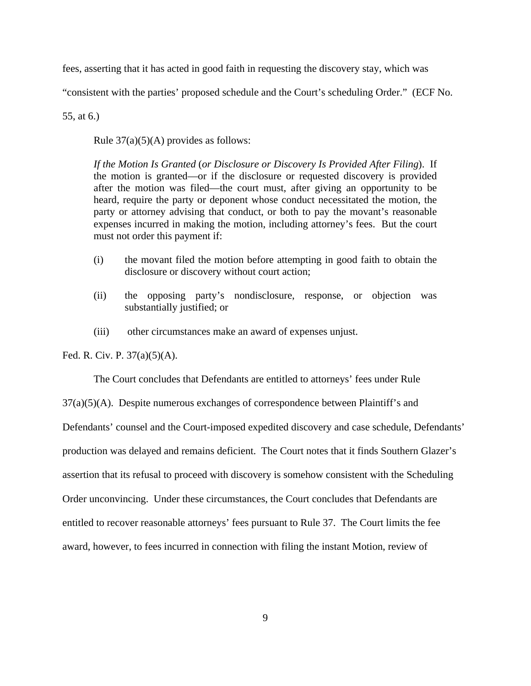fees, asserting that it has acted in good faith in requesting the discovery stay, which was

"consistent with the parties' proposed schedule and the Court's scheduling Order." (ECF No.

55, at 6.)

Rule  $37(a)(5)(A)$  provides as follows:

*If the Motion Is Granted* (*or Disclosure or Discovery Is Provided After Filing*). If the motion is granted—or if the disclosure or requested discovery is provided after the motion was filed—the court must, after giving an opportunity to be heard, require the party or deponent whose conduct necessitated the motion, the party or attorney advising that conduct, or both to pay the movant's reasonable expenses incurred in making the motion, including attorney's fees. But the court must not order this payment if:

- (i) the movant filed the motion before attempting in good faith to obtain the disclosure or discovery without court action;
- (ii) the opposing party's nondisclosure, response, or objection was substantially justified; or
- (iii) other circumstances make an award of expenses unjust.

Fed. R. Civ. P. 37(a)(5)(A).

 The Court concludes that Defendants are entitled to attorneys' fees under Rule 37(a)(5)(A). Despite numerous exchanges of correspondence between Plaintiff's and Defendants' counsel and the Court-imposed expedited discovery and case schedule, Defendants' production was delayed and remains deficient. The Court notes that it finds Southern Glazer's assertion that its refusal to proceed with discovery is somehow consistent with the Scheduling Order unconvincing. Under these circumstances, the Court concludes that Defendants are entitled to recover reasonable attorneys' fees pursuant to Rule 37. The Court limits the fee award, however, to fees incurred in connection with filing the instant Motion, review of